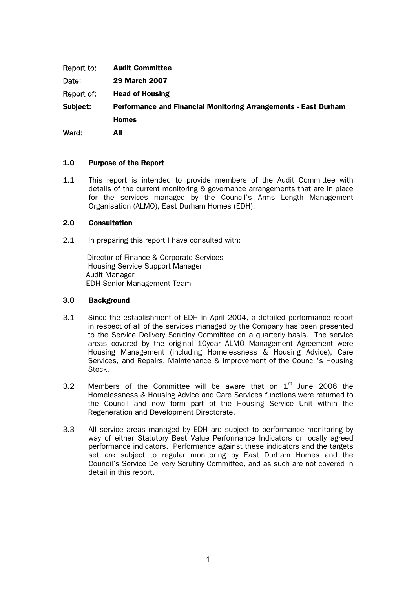| Report to: | <b>Audit Committee</b>                                                 |
|------------|------------------------------------------------------------------------|
| Date:      | <b>29 March 2007</b>                                                   |
| Report of: | <b>Head of Housing</b>                                                 |
| Subject:   | <b>Performance and Financial Monitoring Arrangements - East Durham</b> |
|            | <b>Homes</b>                                                           |
| Ward:      | All                                                                    |

## 1.0 Purpose of the Report

1.1 This report is intended to provide members of the Audit Committee with details of the current monitoring & governance arrangements that are in place for the services managed by the Council's Arms Length Management Organisation (ALMO), East Durham Homes (EDH).

## 2.0 Consultation

2.1 In preparing this report I have consulted with:

 Director of Finance & Corporate Services Housing Service Support Manager Audit Manager EDH Senior Management Team

## 3.0 Background

- 3.1 Since the establishment of EDH in April 2004, a detailed performance report in respect of all of the services managed by the Company has been presented to the Service Delivery Scrutiny Committee on a quarterly basis. The service areas covered by the original 10year ALMO Management Agreement were Housing Management (including Homelessness & Housing Advice), Care Services, and Repairs, Maintenance & Improvement of the Council's Housing Stock.
- 3.2 Members of the Committee will be aware that on  $1<sup>st</sup>$  June 2006 the Homelessness & Housing Advice and Care Services functions were returned to the Council and now form part of the Housing Service Unit within the Regeneration and Development Directorate.
- 3.3 All service areas managed by EDH are subject to performance monitoring by way of either Statutory Best Value Performance Indicators or locally agreed performance indicators. Performance against these indicators and the targets set are subject to regular monitoring by East Durham Homes and the Council's Service Delivery Scrutiny Committee, and as such are not covered in detail in this report.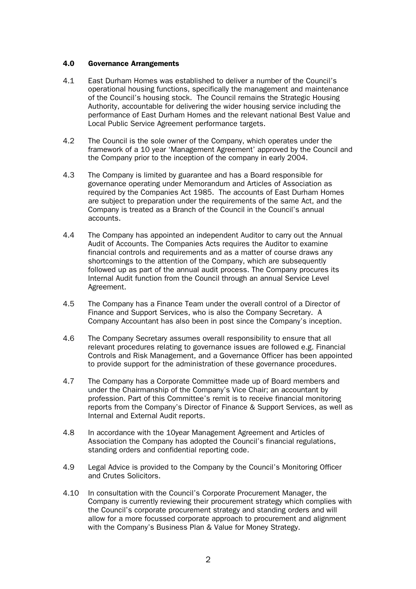## 4.0 Governance Arrangements

- 4.1 East Durham Homes was established to deliver a number of the Council's operational housing functions, specifically the management and maintenance of the Council's housing stock. The Council remains the Strategic Housing Authority, accountable for delivering the wider housing service including the performance of East Durham Homes and the relevant national Best Value and Local Public Service Agreement performance targets.
- 4.2 The Council is the sole owner of the Company, which operates under the framework of a 10 year 'Management Agreement' approved by the Council and the Company prior to the inception of the company in early 2004.
- 4.3 The Company is limited by guarantee and has a Board responsible for governance operating under Memorandum and Articles of Association as required by the Companies Act 1985. The accounts of East Durham Homes are subject to preparation under the requirements of the same Act, and the Company is treated as a Branch of the Council in the Council's annual accounts.
- 4.4 The Company has appointed an independent Auditor to carry out the Annual Audit of Accounts. The Companies Acts requires the Auditor to examine financial controls and requirements and as a matter of course draws any shortcomings to the attention of the Company, which are subsequently followed up as part of the annual audit process. The Company procures its Internal Audit function from the Council through an annual Service Level Agreement.
- 4.5 The Company has a Finance Team under the overall control of a Director of Finance and Support Services, who is also the Company Secretary. A Company Accountant has also been in post since the Company's inception.
- 4.6 The Company Secretary assumes overall responsibility to ensure that all relevant procedures relating to governance issues are followed e.g. Financial Controls and Risk Management, and a Governance Officer has been appointed to provide support for the administration of these governance procedures.
- 4.7 The Company has a Corporate Committee made up of Board members and under the Chairmanship of the Company's Vice Chair; an accountant by profession. Part of this Committee's remit is to receive financial monitoring reports from the Company's Director of Finance & Support Services, as well as Internal and External Audit reports.
- 4.8 In accordance with the 10year Management Agreement and Articles of Association the Company has adopted the Council's financial regulations, standing orders and confidential reporting code.
- 4.9 Legal Advice is provided to the Company by the Council's Monitoring Officer and Crutes Solicitors.
- 4.10 In consultation with the Council's Corporate Procurement Manager, the Company is currently reviewing their procurement strategy which complies with the Council's corporate procurement strategy and standing orders and will allow for a more focussed corporate approach to procurement and alignment with the Company's Business Plan & Value for Money Strategy.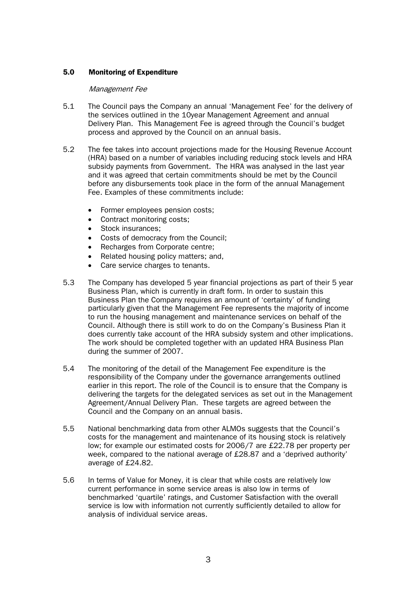# 5.0 Monitoring of Expenditure

#### Management Fee

- 5.1 The Council pays the Company an annual 'Management Fee' for the delivery of the services outlined in the 10year Management Agreement and annual Delivery Plan. This Management Fee is agreed through the Council's budget process and approved by the Council on an annual basis.
- 5.2 The fee takes into account projections made for the Housing Revenue Account (HRA) based on a number of variables including reducing stock levels and HRA subsidy payments from Government. The HRA was analysed in the last year and it was agreed that certain commitments should be met by the Council before any disbursements took place in the form of the annual Management Fee. Examples of these commitments include:
	- Former employees pension costs;
	- Contract monitoring costs:
	- Stock insurances;
	- Costs of democracy from the Council:
	- Recharges from Corporate centre;
	- Related housing policy matters; and,
	- Care service charges to tenants.
- 5.3 The Company has developed 5 year financial projections as part of their 5 year Business Plan, which is currently in draft form. In order to sustain this Business Plan the Company requires an amount of 'certainty' of funding particularly given that the Management Fee represents the majority of income to run the housing management and maintenance services on behalf of the Council. Although there is still work to do on the Company's Business Plan it does currently take account of the HRA subsidy system and other implications. The work should be completed together with an updated HRA Business Plan during the summer of 2007.
- 5.4 The monitoring of the detail of the Management Fee expenditure is the responsibility of the Company under the governance arrangements outlined earlier in this report. The role of the Council is to ensure that the Company is delivering the targets for the delegated services as set out in the Management Agreement/Annual Delivery Plan. These targets are agreed between the Council and the Company on an annual basis.
- 5.5 National benchmarking data from other ALMOs suggests that the Council's costs for the management and maintenance of its housing stock is relatively low; for example our estimated costs for 2006/7 are £22.78 per property per week, compared to the national average of £28.87 and a 'deprived authority' average of £24.82.
- 5.6 In terms of Value for Money, it is clear that while costs are relatively low current performance in some service areas is also low in terms of benchmarked 'quartile' ratings, and Customer Satisfaction with the overall service is low with information not currently sufficiently detailed to allow for analysis of individual service areas.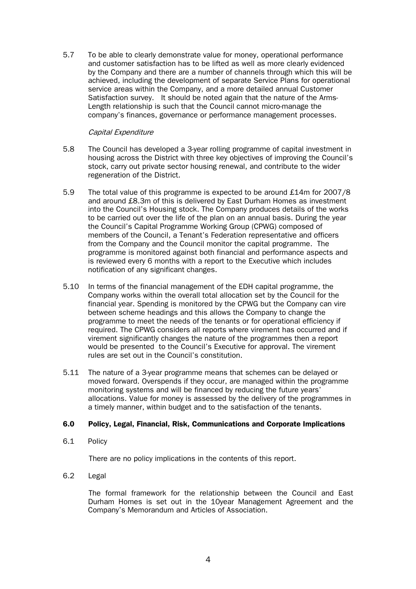5.7 To be able to clearly demonstrate value for money, operational performance and customer satisfaction has to be lifted as well as more clearly evidenced by the Company and there are a number of channels through which this will be achieved, including the development of separate Service Plans for operational service areas within the Company, and a more detailed annual Customer Satisfaction survey. It should be noted again that the nature of the Arms-Length relationship is such that the Council cannot micro-manage the company's finances, governance or performance management processes.

## Capital Expenditure

- 5.8 The Council has developed a 3-year rolling programme of capital investment in housing across the District with three key objectives of improving the Council's stock, carry out private sector housing renewal, and contribute to the wider regeneration of the District.
- 5.9 The total value of this programme is expected to be around £14m for 2007/8 and around £8.3m of this is delivered by East Durham Homes as investment into the Council's Housing stock. The Company produces details of the works to be carried out over the life of the plan on an annual basis. During the year the Council's Capital Programme Working Group (CPWG) composed of members of the Council, a Tenant's Federation representative and officers from the Company and the Council monitor the capital programme. The programme is monitored against both financial and performance aspects and is reviewed every 6 months with a report to the Executive which includes notification of any significant changes.
- 5.10 In terms of the financial management of the EDH capital programme, the Company works within the overall total allocation set by the Council for the financial year. Spending is monitored by the CPWG but the Company can vire between scheme headings and this allows the Company to change the programme to meet the needs of the tenants or for operational efficiency if required. The CPWG considers all reports where virement has occurred and if virement significantly changes the nature of the programmes then a report would be presented to the Council's Executive for approval. The virement rules are set out in the Council's constitution.
- 5.11 The nature of a 3-year programme means that schemes can be delayed or moved forward. Overspends if they occur, are managed within the programme monitoring systems and will be financed by reducing the future years' allocations. Value for money is assessed by the delivery of the programmes in a timely manner, within budget and to the satisfaction of the tenants.

## 6.0 Policy, Legal, Financial, Risk, Communications and Corporate Implications

6.1 Policy

There are no policy implications in the contents of this report.

6.2 Legal

 The formal framework for the relationship between the Council and East Durham Homes is set out in the 10year Management Agreement and the Company's Memorandum and Articles of Association.